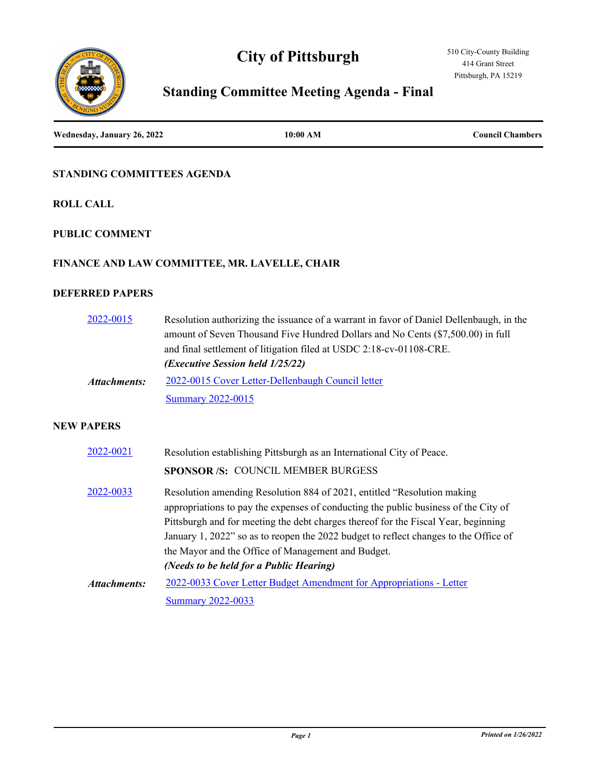# **City of Pittsburgh**



# **Standing Committee Meeting Agenda - Final**

**Wednesday, January 26, 2022 10:00 AM Council Chambers**

#### **STANDING COMMITTEES AGENDA**

**ROLL CALL**

#### **PUBLIC COMMENT**

#### **FINANCE AND LAW COMMITTEE, MR. LAVELLE, CHAIR**

#### **DEFERRED PAPERS**

| 2022-0015    | Resolution authorizing the issuance of a warrant in favor of Daniel Dellenbaugh, in the |
|--------------|-----------------------------------------------------------------------------------------|
|              | amount of Seven Thousand Five Hundred Dollars and No Cents (\$7,500.00) in full         |
|              | and final settlement of litigation filed at USDC 2:18-cv-01108-CRE.                     |
|              | ( <i>Executive Session held 1/25/22</i> )                                               |
| Attachments: | 2022-0015 Cover Letter-Dellenbaugh Council letter                                       |
|              | <b>Summary 2022-0015</b>                                                                |
|              |                                                                                         |
| A BEBO       |                                                                                         |

| 2022-0021    | Resolution establishing Pittsburgh as an International City of Peace.                                                                                                                                                                                                                                                                                                                                                                         |
|--------------|-----------------------------------------------------------------------------------------------------------------------------------------------------------------------------------------------------------------------------------------------------------------------------------------------------------------------------------------------------------------------------------------------------------------------------------------------|
|              | SPONSOR /S: COUNCIL MEMBER BURGESS                                                                                                                                                                                                                                                                                                                                                                                                            |
| 2022-0033    | Resolution amending Resolution 884 of 2021, entitled "Resolution making<br>appropriations to pay the expenses of conducting the public business of the City of<br>Pittsburgh and for meeting the debt charges thereof for the Fiscal Year, beginning<br>January 1, 2022" so as to reopen the 2022 budget to reflect changes to the Office of<br>the Mayor and the Office of Management and Budget.<br>(Needs to be held for a Public Hearing) |
| Attachments: | 2022-0033 Cover Letter Budget Amendment for Appropriations - Letter                                                                                                                                                                                                                                                                                                                                                                           |
|              | <b>Summary 2022-0033</b>                                                                                                                                                                                                                                                                                                                                                                                                                      |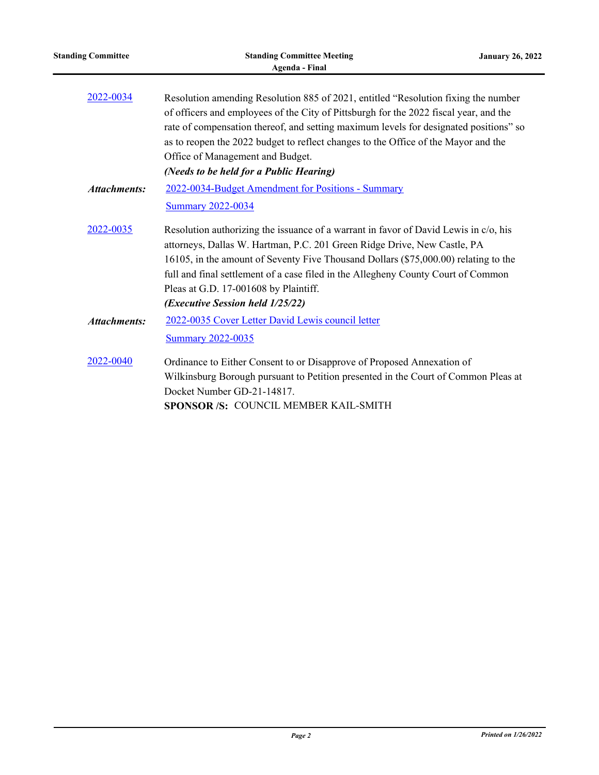| <b>Standing Committee</b> | <b>Standing Committee Meeting</b><br>Agenda - Final                                                                                                                                                                                                                                                                                                                                                                                       | <b>January 26, 2022</b> |
|---------------------------|-------------------------------------------------------------------------------------------------------------------------------------------------------------------------------------------------------------------------------------------------------------------------------------------------------------------------------------------------------------------------------------------------------------------------------------------|-------------------------|
| 2022-0034                 | Resolution amending Resolution 885 of 2021, entitled "Resolution fixing the number<br>of officers and employees of the City of Pittsburgh for the 2022 fiscal year, and the<br>rate of compensation thereof, and setting maximum levels for designated positions" so<br>as to reopen the 2022 budget to reflect changes to the Office of the Mayor and the<br>Office of Management and Budget.<br>(Needs to be held for a Public Hearing) |                         |
| <b>Attachments:</b>       | 2022-0034-Budget Amendment for Positions - Summary<br><b>Summary 2022-0034</b>                                                                                                                                                                                                                                                                                                                                                            |                         |
| 2022-0035                 | Resolution authorizing the issuance of a warrant in favor of David Lewis in c/o, his<br>attorneys, Dallas W. Hartman, P.C. 201 Green Ridge Drive, New Castle, PA<br>16105, in the amount of Seventy Five Thousand Dollars (\$75,000.00) relating to the<br>full and final settlement of a case filed in the Allegheny County Court of Common<br>Pleas at G.D. 17-001608 by Plaintiff.<br>(Executive Session held 1/25/22)                 |                         |
| <b>Attachments:</b>       | 2022-0035 Cover Letter David Lewis council letter<br><b>Summary 2022-0035</b>                                                                                                                                                                                                                                                                                                                                                             |                         |
| 2022-0040                 | Ordinance to Either Consent to or Disapprove of Proposed Annexation of<br>Wilkinsburg Borough pursuant to Petition presented in the Court of Common Pleas at<br>Docket Number GD-21-14817.<br>SPONSOR /S: COUNCIL MEMBER KAIL-SMITH                                                                                                                                                                                                       |                         |

 $\overline{\phantom{0}}$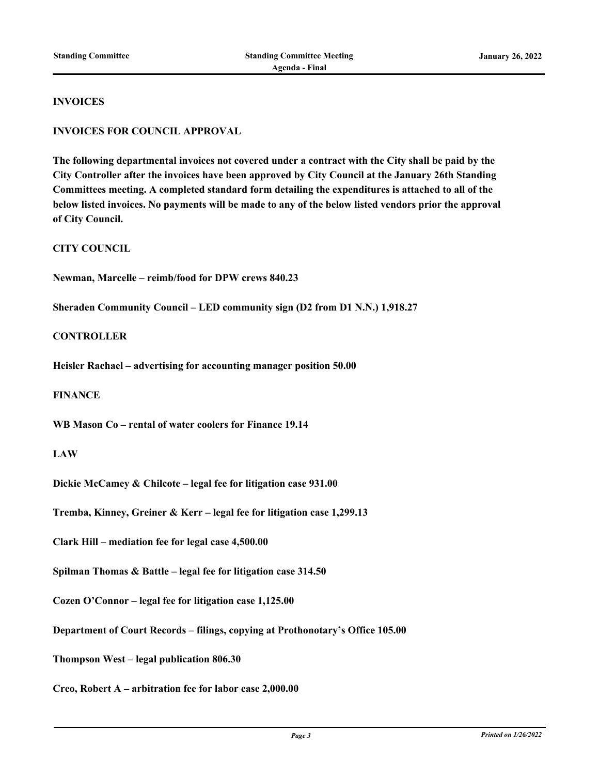#### **INVOICES**

#### **INVOICES FOR COUNCIL APPROVAL**

**The following departmental invoices not covered under a contract with the City shall be paid by the City Controller after the invoices have been approved by City Council at the January 26th Standing Committees meeting. A completed standard form detailing the expenditures is attached to all of the below listed invoices. No payments will be made to any of the below listed vendors prior the approval of City Council.**

**CITY COUNCIL**

**Newman, Marcelle – reimb/food for DPW crews 840.23**

**Sheraden Community Council – LED community sign (D2 from D1 N.N.) 1,918.27**

#### **CONTROLLER**

**Heisler Rachael – advertising for accounting manager position 50.00**

#### **FINANCE**

**WB Mason Co – rental of water coolers for Finance 19.14**

#### **LAW**

**Dickie McCamey & Chilcote – legal fee for litigation case 931.00**

**Tremba, Kinney, Greiner & Kerr – legal fee for litigation case 1,299.13**

**Clark Hill – mediation fee for legal case 4,500.00**

**Spilman Thomas & Battle – legal fee for litigation case 314.50**

**Cozen O'Connor – legal fee for litigation case 1,125.00**

**Department of Court Records – filings, copying at Prothonotary's Office 105.00**

**Thompson West – legal publication 806.30**

**Creo, Robert A – arbitration fee for labor case 2,000.00**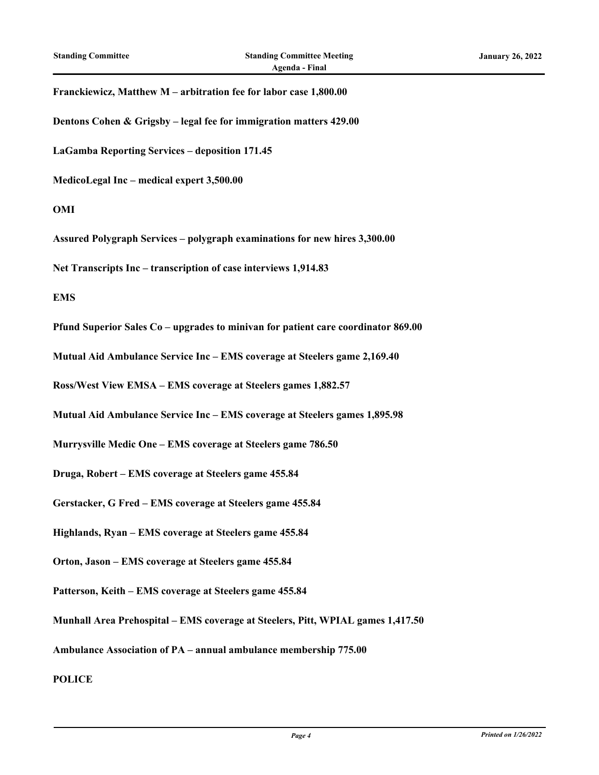#### **Franckiewicz, Matthew M – arbitration fee for labor case 1,800.00**

**Dentons Cohen & Grigsby – legal fee for immigration matters 429.00**

**LaGamba Reporting Services – deposition 171.45**

**MedicoLegal Inc – medical expert 3,500.00**

#### **OMI**

**Assured Polygraph Services – polygraph examinations for new hires 3,300.00**

**Net Transcripts Inc – transcription of case interviews 1,914.83**

#### **EMS**

**Pfund Superior Sales Co – upgrades to minivan for patient care coordinator 869.00**

**Mutual Aid Ambulance Service Inc – EMS coverage at Steelers game 2,169.40**

**Ross/West View EMSA – EMS coverage at Steelers games 1,882.57**

**Mutual Aid Ambulance Service Inc – EMS coverage at Steelers games 1,895.98**

**Murrysville Medic One – EMS coverage at Steelers game 786.50**

**Druga, Robert – EMS coverage at Steelers game 455.84**

**Gerstacker, G Fred – EMS coverage at Steelers game 455.84**

**Highlands, Ryan – EMS coverage at Steelers game 455.84**

**Orton, Jason – EMS coverage at Steelers game 455.84**

**Patterson, Keith – EMS coverage at Steelers game 455.84**

**Munhall Area Prehospital – EMS coverage at Steelers, Pitt, WPIAL games 1,417.50**

**Ambulance Association of PA – annual ambulance membership 775.00**

**POLICE**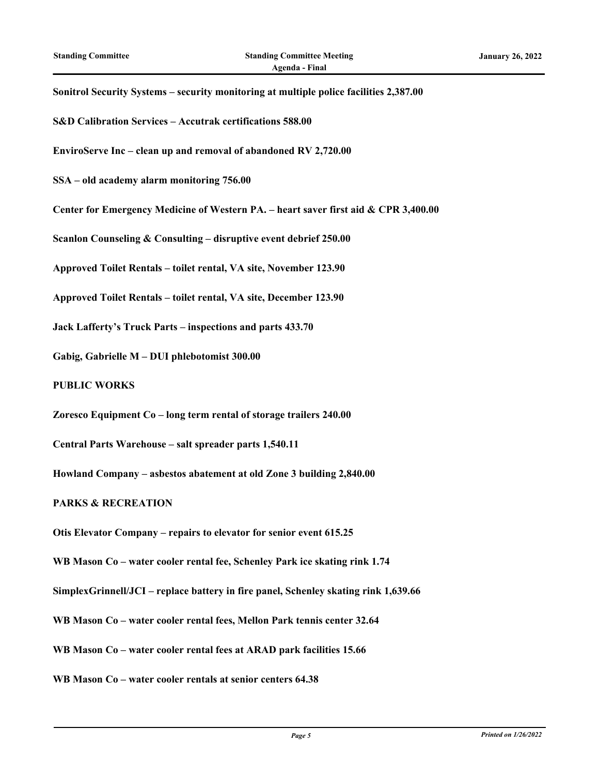| Sonitrol Security Systems - security monitoring at multiple police facilities 2,387.00 |
|----------------------------------------------------------------------------------------|
| S&D Calibration Services - Accutrak certifications 588.00                              |
| EnviroServe Inc - clean up and removal of abandoned RV 2,720.00                        |
| SSA - old academy alarm monitoring 756.00                                              |
| Center for Emergency Medicine of Western PA. - heart saver first aid & CPR 3,400.00    |
| Scanlon Counseling & Consulting - disruptive event debrief 250.00                      |
| Approved Toilet Rentals - toilet rental, VA site, November 123.90                      |
| Approved Toilet Rentals - toilet rental, VA site, December 123.90                      |
| Jack Lafferty's Truck Parts – inspections and parts 433.70                             |
| Gabig, Gabrielle M - DUI phlebotomist 300.00                                           |
| <b>PUBLIC WORKS</b>                                                                    |
| Zoresco Equipment Co - long term rental of storage trailers 240.00                     |
| Central Parts Warehouse - salt spreader parts 1,540.11                                 |
| Howland Company - asbestos abatement at old Zone 3 building 2,840.00                   |
| <b>PARKS &amp; RECREATION</b>                                                          |
| Otis Elevator Company – repairs to elevator for senior event 615.25                    |
| WB Mason Co - water cooler rental fee, Schenley Park ice skating rink 1.74             |
| SimplexGrinnell/JCI – replace battery in fire panel, Schenley skating rink 1,639.66    |
| WB Mason Co - water cooler rental fees, Mellon Park tennis center 32.64                |
| WB Mason Co - water cooler rental fees at ARAD park facilities 15.66                   |
| WB Mason Co - water cooler rentals at senior centers 64.38                             |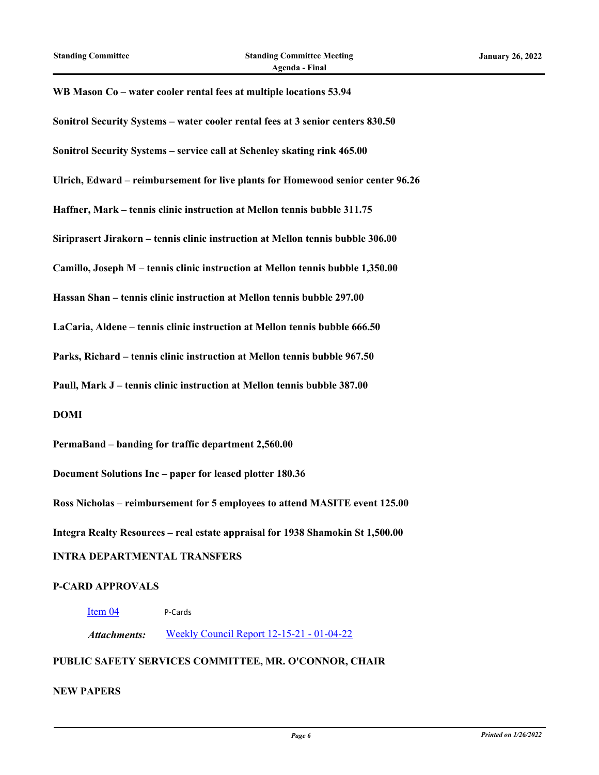# **WB Mason Co – water cooler rental fees at multiple locations 53.94 Sonitrol Security Systems – water cooler rental fees at 3 senior centers 830.50 Sonitrol Security Systems – service call at Schenley skating rink 465.00 Ulrich, Edward – reimbursement for live plants for Homewood senior center 96.26 Haffner, Mark – tennis clinic instruction at Mellon tennis bubble 311.75 Siriprasert Jirakorn – tennis clinic instruction at Mellon tennis bubble 306.00 Camillo, Joseph M – tennis clinic instruction at Mellon tennis bubble 1,350.00 Hassan Shan – tennis clinic instruction at Mellon tennis bubble 297.00 LaCaria, Aldene – tennis clinic instruction at Mellon tennis bubble 666.50 Parks, Richard – tennis clinic instruction at Mellon tennis bubble 967.50 Paull, Mark J – tennis clinic instruction at Mellon tennis bubble 387.00 DOMI PermaBand – banding for traffic department 2,560.00 Document Solutions Inc – paper for leased plotter 180.36**

**Ross Nicholas – reimbursement for 5 employees to attend MASITE event 125.00**

**Integra Realty Resources – real estate appraisal for 1938 Shamokin St 1,500.00**

#### **INTRA DEPARTMENTAL TRANSFERS**

#### **P-CARD APPROVALS**

#### [Item 04](http://pittsburgh.legistar.com/gateway.aspx?m=l&id=/matter.aspx?key=27351) P-Cards

*Attachments:* [Weekly Council Report 12-15-21 - 01-04-22](http://pittsburgh.legistar.com/gateway.aspx?M=F&ID=13698505-a027-4d19-a00a-f1601b17fc5d.xls)

#### **PUBLIC SAFETY SERVICES COMMITTEE, MR. O'CONNOR, CHAIR**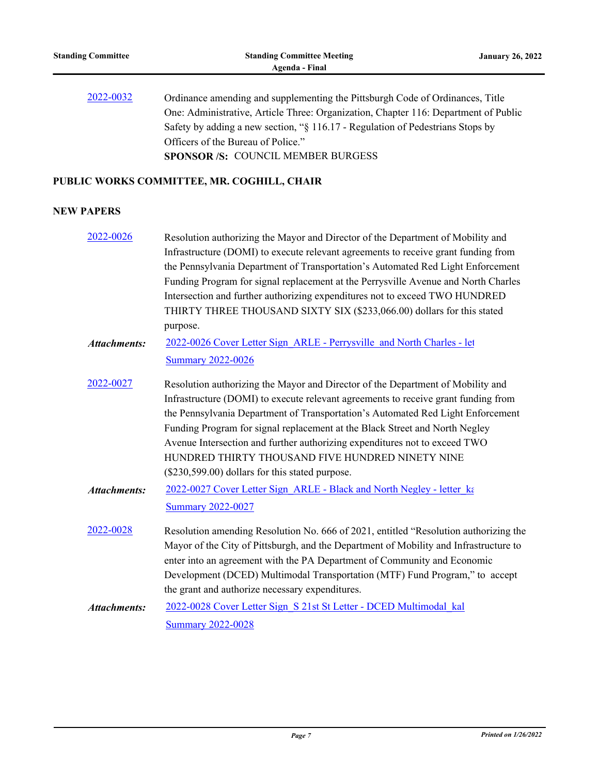| 2022-0032 | Ordinance amending and supplementing the Pittsburgh Code of Ordinances, Title       |
|-----------|-------------------------------------------------------------------------------------|
|           | One: Administrative, Article Three: Organization, Chapter 116: Department of Public |
|           | Safety by adding a new section, "§ 116.17 - Regulation of Pedestrians Stops by      |
|           | Officers of the Bureau of Police."                                                  |
|           | <b>SPONSOR/S: COUNCIL MEMBER BURGESS</b>                                            |

## **PUBLIC WORKS COMMITTEE, MR. COGHILL, CHAIR**

| 2022-0026           | Resolution authorizing the Mayor and Director of the Department of Mobility and       |
|---------------------|---------------------------------------------------------------------------------------|
|                     | Infrastructure (DOMI) to execute relevant agreements to receive grant funding from    |
|                     | the Pennsylvania Department of Transportation's Automated Red Light Enforcement       |
|                     | Funding Program for signal replacement at the Perrysville Avenue and North Charles    |
|                     | Intersection and further authorizing expenditures not to exceed TWO HUNDRED           |
|                     | THIRTY THREE THOUSAND SIXTY SIX (\$233,066.00) dollars for this stated                |
|                     | purpose.                                                                              |
| <b>Attachments:</b> | 2022-0026 Cover Letter Sign ARLE - Perrysville and North Charles - let                |
|                     | <b>Summary 2022-0026</b>                                                              |
| 2022-0027           | Resolution authorizing the Mayor and Director of the Department of Mobility and       |
|                     | Infrastructure (DOMI) to execute relevant agreements to receive grant funding from    |
|                     | the Pennsylvania Department of Transportation's Automated Red Light Enforcement       |
|                     | Funding Program for signal replacement at the Black Street and North Negley           |
|                     | Avenue Intersection and further authorizing expenditures not to exceed TWO            |
|                     | HUNDRED THIRTY THOUSAND FIVE HUNDRED NINETY NINE                                      |
|                     | (\$230,599.00) dollars for this stated purpose.                                       |
| <b>Attachments:</b> | 2022-0027 Cover Letter Sign ARLE - Black and North Negley - letter ka                 |
|                     | <b>Summary 2022-0027</b>                                                              |
| 2022-0028           | Resolution amending Resolution No. 666 of 2021, entitled "Resolution authorizing the  |
|                     | Mayor of the City of Pittsburgh, and the Department of Mobility and Infrastructure to |
|                     | enter into an agreement with the PA Department of Community and Economic              |
|                     | Development (DCED) Multimodal Transportation (MTF) Fund Program," to accept           |
|                     | the grant and authorize necessary expenditures.                                       |
| <b>Attachments:</b> | 2022-0028 Cover Letter Sign S 21st St Letter - DCED Multimodal kal                    |
|                     | <b>Summary 2022-0028</b>                                                              |
|                     |                                                                                       |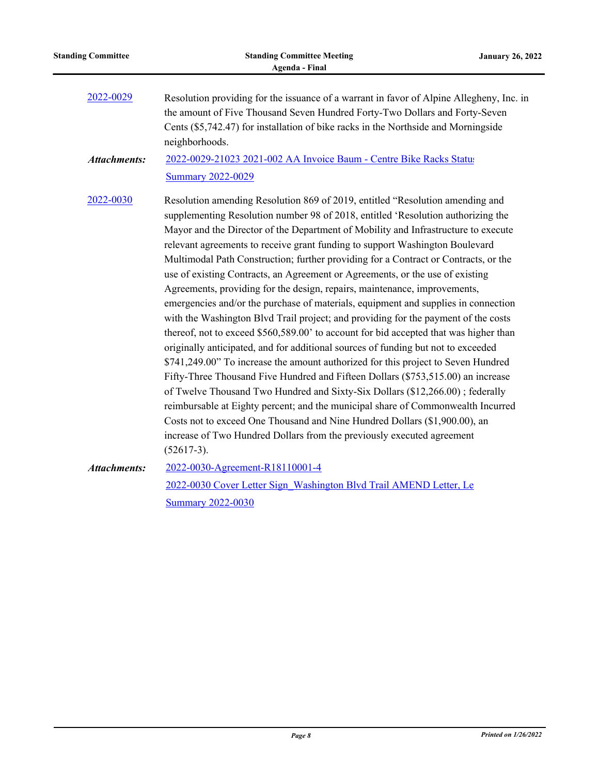| 2022-0029           | Resolution providing for the issuance of a warrant in favor of Alpine Allegheny, Inc. in<br>the amount of Five Thousand Seven Hundred Forty-Two Dollars and Forty-Seven<br>Cents (\$5,742.47) for installation of bike racks in the Northside and Morningside<br>neighborhoods.                                                                                                                                                                                                                                                                                                                                                                                                                                                                                                                                                                                                                                                                                                                                                                                                                                                                                                                                                                                                                                                                                                                                                                                              |
|---------------------|------------------------------------------------------------------------------------------------------------------------------------------------------------------------------------------------------------------------------------------------------------------------------------------------------------------------------------------------------------------------------------------------------------------------------------------------------------------------------------------------------------------------------------------------------------------------------------------------------------------------------------------------------------------------------------------------------------------------------------------------------------------------------------------------------------------------------------------------------------------------------------------------------------------------------------------------------------------------------------------------------------------------------------------------------------------------------------------------------------------------------------------------------------------------------------------------------------------------------------------------------------------------------------------------------------------------------------------------------------------------------------------------------------------------------------------------------------------------------|
| <b>Attachments:</b> | 2022-0029-21023 2021-002 AA Invoice Baum - Centre Bike Racks Status<br><b>Summary 2022-0029</b>                                                                                                                                                                                                                                                                                                                                                                                                                                                                                                                                                                                                                                                                                                                                                                                                                                                                                                                                                                                                                                                                                                                                                                                                                                                                                                                                                                              |
| 2022-0030           | Resolution amending Resolution 869 of 2019, entitled "Resolution amending and<br>supplementing Resolution number 98 of 2018, entitled 'Resolution authorizing the<br>Mayor and the Director of the Department of Mobility and Infrastructure to execute<br>relevant agreements to receive grant funding to support Washington Boulevard<br>Multimodal Path Construction; further providing for a Contract or Contracts, or the<br>use of existing Contracts, an Agreement or Agreements, or the use of existing<br>Agreements, providing for the design, repairs, maintenance, improvements,<br>emergencies and/or the purchase of materials, equipment and supplies in connection<br>with the Washington Blvd Trail project; and providing for the payment of the costs<br>thereof, not to exceed \$560,589.00' to account for bid accepted that was higher than<br>originally anticipated, and for additional sources of funding but not to exceeded<br>\$741,249.00" To increase the amount authorized for this project to Seven Hundred<br>Fifty-Three Thousand Five Hundred and Fifteen Dollars (\$753,515.00) an increase<br>of Twelve Thousand Two Hundred and Sixty-Six Dollars (\$12,266.00); federally<br>reimbursable at Eighty percent; and the municipal share of Commonwealth Incurred<br>Costs not to exceed One Thousand and Nine Hundred Dollars (\$1,900.00), an<br>increase of Two Hundred Dollars from the previously executed agreement<br>$(52617-3).$ |
| <b>Attachments:</b> | 2022-0030-Agreement-R18110001-4<br>2022-0030 Cover Letter Sign Washington Blvd Trail AMEND Letter, Le<br><b>Summary 2022-0030</b>                                                                                                                                                                                                                                                                                                                                                                                                                                                                                                                                                                                                                                                                                                                                                                                                                                                                                                                                                                                                                                                                                                                                                                                                                                                                                                                                            |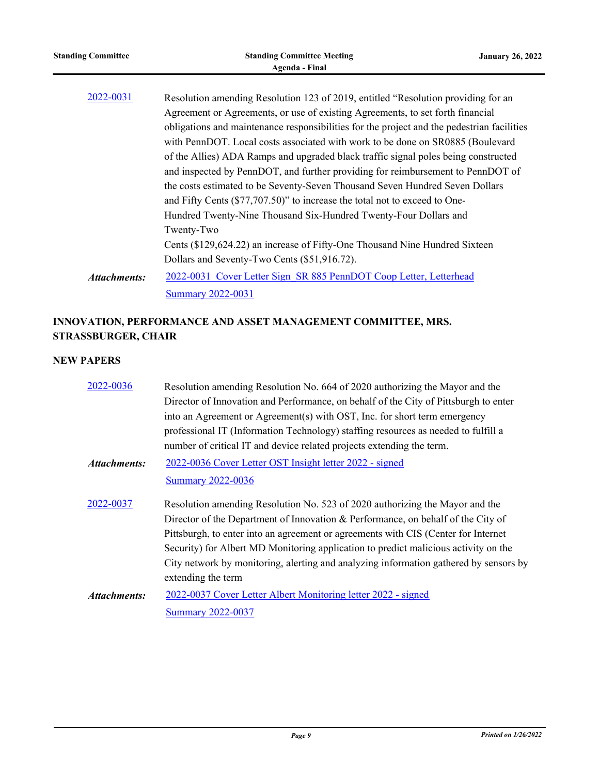| <b>Standing Committee</b>                                                                                                                                                                                                                                                                                                                                                                                                                                                                                                                                                                                                                                                                               | <b>Standing Committee Meeting</b><br><b>Agenda - Final</b>                                                                                                                                                                                                                          | <b>January 26, 2022</b> |
|---------------------------------------------------------------------------------------------------------------------------------------------------------------------------------------------------------------------------------------------------------------------------------------------------------------------------------------------------------------------------------------------------------------------------------------------------------------------------------------------------------------------------------------------------------------------------------------------------------------------------------------------------------------------------------------------------------|-------------------------------------------------------------------------------------------------------------------------------------------------------------------------------------------------------------------------------------------------------------------------------------|-------------------------|
| 2022-0031<br>Resolution amending Resolution 123 of 2019, entitled "Resolution providing for an<br>Agreement or Agreements, or use of existing Agreements, to set forth financial<br>obligations and maintenance responsibilities for the project and the pedestrian facilities<br>with PennDOT. Local costs associated with work to be done on SR0885 (Boulevard<br>of the Allies) ADA Ramps and upgraded black traffic signal poles being constructed<br>and inspected by PennDOT, and further providing for reimbursement to PennDOT of<br>the costs estimated to be Seventy-Seven Thousand Seven Hundred Seven Dollars<br>and Fifty Cents (\$77,707.50)" to increase the total not to exceed to One- |                                                                                                                                                                                                                                                                                     |                         |
| Attachments:                                                                                                                                                                                                                                                                                                                                                                                                                                                                                                                                                                                                                                                                                            | Hundred Twenty-Nine Thousand Six-Hundred Twenty-Four Dollars and<br>Twenty-Two<br>Cents (\$129,624.22) an increase of Fifty-One Thousand Nine Hundred Sixteen<br>Dollars and Seventy-Two Cents (\$51,916.72).<br>2022-0031 Cover Letter Sign SR 885 PennDOT Coop Letter, Letterhead |                         |
|                                                                                                                                                                                                                                                                                                                                                                                                                                                                                                                                                                                                                                                                                                         | <b>Summary 2022-0031</b>                                                                                                                                                                                                                                                            |                         |

# **INNOVATION, PERFORMANCE AND ASSET MANAGEMENT COMMITTEE, MRS. STRASSBURGER, CHAIR**

| 2022-0036           | Resolution amending Resolution No. 664 of 2020 authorizing the Mayor and the          |
|---------------------|---------------------------------------------------------------------------------------|
|                     | Director of Innovation and Performance, on behalf of the City of Pittsburgh to enter  |
|                     | into an Agreement or Agreement(s) with OST, Inc. for short term emergency             |
|                     | professional IT (Information Technology) staffing resources as needed to fulfill a    |
|                     | number of critical IT and device related projects extending the term.                 |
| Attachments:        | 2022-0036 Cover Letter OST Insight letter 2022 - signed                               |
|                     | <b>Summary 2022-0036</b>                                                              |
| 2022-0037           | Resolution amending Resolution No. 523 of 2020 authorizing the Mayor and the          |
|                     | Director of the Department of Innovation & Performance, on behalf of the City of      |
|                     | Pittsburgh, to enter into an agreement or agreements with CIS (Center for Internet    |
|                     | Security) for Albert MD Monitoring application to predict malicious activity on the   |
|                     | City network by monitoring, alerting and analyzing information gathered by sensors by |
|                     | extending the term                                                                    |
| <b>Attachments:</b> | 2022-0037 Cover Letter Albert Monitoring letter 2022 - signed                         |
|                     | <b>Summary 2022-0037</b>                                                              |
|                     |                                                                                       |